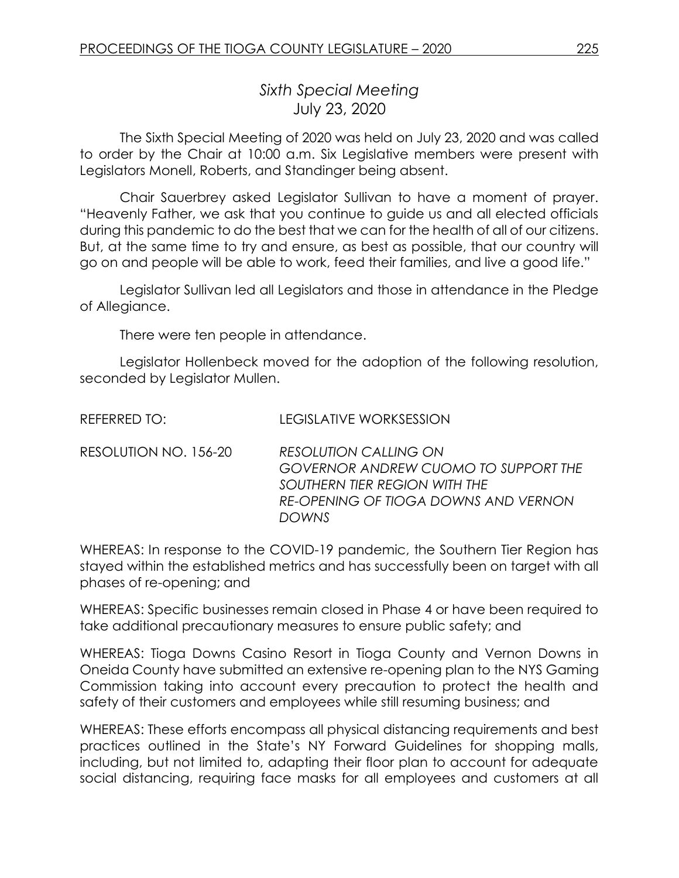## *Sixth Special Meeting* July 23, 2020

The Sixth Special Meeting of 2020 was held on July 23, 2020 and was called to order by the Chair at 10:00 a.m. Six Legislative members were present with Legislators Monell, Roberts, and Standinger being absent.

Chair Sauerbrey asked Legislator Sullivan to have a moment of prayer. "Heavenly Father, we ask that you continue to guide us and all elected officials during this pandemic to do the best that we can for the health of all of our citizens. But, at the same time to try and ensure, as best as possible, that our country will go on and people will be able to work, feed their families, and live a good life."

Legislator Sullivan led all Legislators and those in attendance in the Pledge of Allegiance.

There were ten people in attendance.

Legislator Hollenbeck moved for the adoption of the following resolution, seconded by Legislator Mullen.

REFERRED TO: LEGISLATIVE WORKSESSION

RESOLUTION NO. 156-20 *RESOLUTION CALLING ON GOVERNOR ANDREW CUOMO TO SUPPORT THE SOUTHERN TIER REGION WITH THE RE-OPENING OF TIOGA DOWNS AND VERNON DOWNS* 

WHEREAS: In response to the COVID-19 pandemic, the Southern Tier Region has stayed within the established metrics and has successfully been on target with all phases of re-opening; and

WHEREAS: Specific businesses remain closed in Phase 4 or have been required to take additional precautionary measures to ensure public safety; and

WHEREAS: Tioga Downs Casino Resort in Tioga County and Vernon Downs in Oneida County have submitted an extensive re-opening plan to the NYS Gaming Commission taking into account every precaution to protect the health and safety of their customers and employees while still resuming business; and

WHEREAS: These efforts encompass all physical distancing requirements and best practices outlined in the State's NY Forward Guidelines for shopping malls, including, but not limited to, adapting their floor plan to account for adequate social distancing, requiring face masks for all employees and customers at all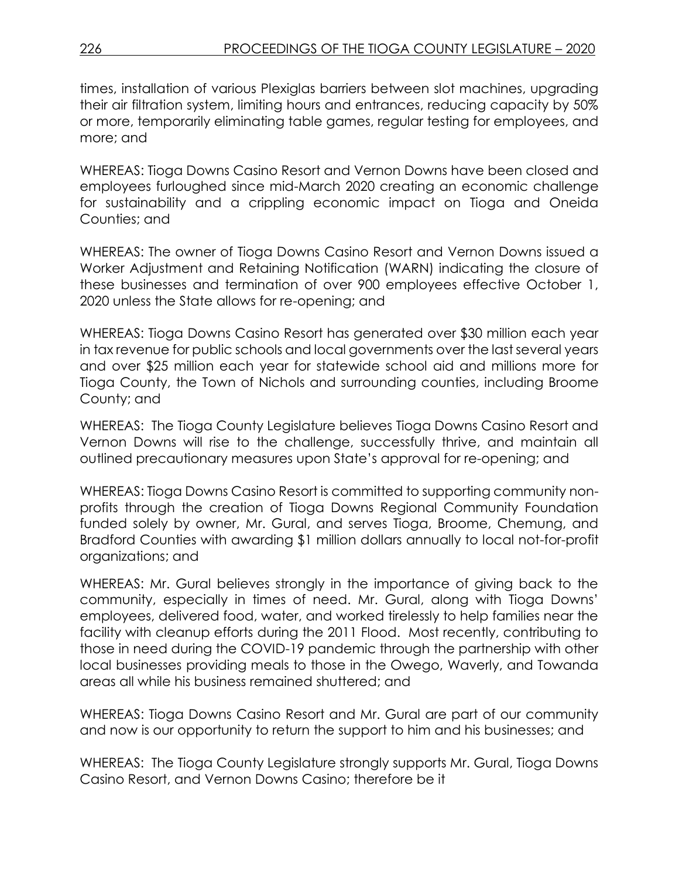times, installation of various Plexiglas barriers between slot machines, upgrading their air filtration system, limiting hours and entrances, reducing capacity by 50% or more, temporarily eliminating table games, regular testing for employees, and more; and

WHEREAS: Tioga Downs Casino Resort and Vernon Downs have been closed and employees furloughed since mid-March 2020 creating an economic challenge for sustainability and a crippling economic impact on Tioga and Oneida Counties; and

WHEREAS: The owner of Tioga Downs Casino Resort and Vernon Downs issued a Worker Adjustment and Retaining Notification (WARN) indicating the closure of these businesses and termination of over 900 employees effective October 1, 2020 unless the State allows for re-opening; and

WHEREAS: Tioga Downs Casino Resort has generated over \$30 million each year in tax revenue for public schools and local governments over the last several years and over \$25 million each year for statewide school aid and millions more for Tioga County, the Town of Nichols and surrounding counties, including Broome County; and

WHEREAS: The Tioga County Legislature believes Tioga Downs Casino Resort and Vernon Downs will rise to the challenge, successfully thrive, and maintain all outlined precautionary measures upon State's approval for re-opening; and

WHEREAS: Tioga Downs Casino Resort is committed to supporting community nonprofits through the creation of Tioga Downs Regional Community Foundation funded solely by owner, Mr. Gural, and serves Tioga, Broome, Chemung, and Bradford Counties with awarding \$1 million dollars annually to local not-for-profit organizations; and

WHEREAS: Mr. Gural believes strongly in the importance of giving back to the community, especially in times of need. Mr. Gural, along with Tioga Downs' employees, delivered food, water, and worked tirelessly to help families near the facility with cleanup efforts during the 2011 Flood. Most recently, contributing to those in need during the COVID-19 pandemic through the partnership with other local businesses providing meals to those in the Owego, Waverly, and Towanda areas all while his business remained shuttered; and

WHEREAS: Tioga Downs Casino Resort and Mr. Gural are part of our community and now is our opportunity to return the support to him and his businesses; and

WHEREAS: The Tioga County Legislature strongly supports Mr. Gural, Tioga Downs Casino Resort, and Vernon Downs Casino; therefore be it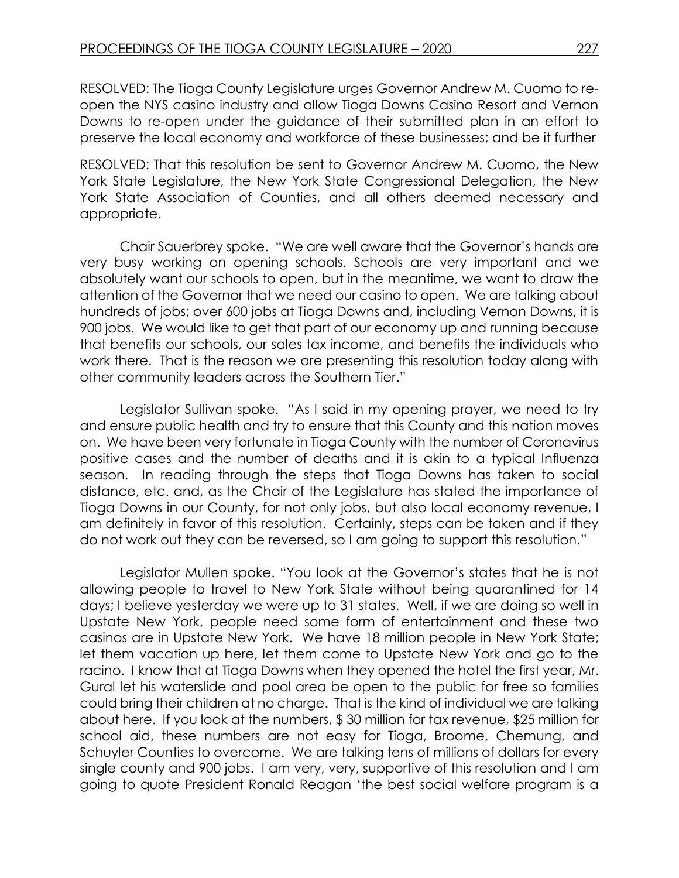RESOLVED: The Tioga County Legislature urges Governor Andrew M. Cuomo to reopen the NYS casino industry and allow Tioga Downs Casino Resort and Vernon Downs to re-open under the guidance of their submitted plan in an effort to preserve the local economy and workforce of these businesses; and be it further

RESOLVED: That this resolution be sent to Governor Andrew M. Cuomo, the New York State Legislature, the New York State Congressional Delegation, the New York State Association of Counties, and all others deemed necessary and appropriate.

Chair Sauerbrey spoke. "We are well aware that the Governor's hands are very busy working on opening schools. Schools are very important and we absolutely want our schools to open, but in the meantime, we want to draw the attention of the Governor that we need our casino to open. We are talking about hundreds of jobs; over 600 jobs at Tioga Downs and, including Vernon Downs, it is 900 jobs. We would like to get that part of our economy up and running because that benefits our schools, our sales tax income, and benefits the individuals who work there. That is the reason we are presenting this resolution today along with other community leaders across the Southern Tier."

Legislator Sullivan spoke. "As I said in my opening prayer, we need to try and ensure public health and try to ensure that this County and this nation moves on. We have been very fortunate in Tioga County with the number of Coronavirus positive cases and the number of deaths and it is akin to a typical Influenza season. In reading through the steps that Tioga Downs has taken to social distance, etc. and, as the Chair of the Legislature has stated the importance of Tioga Downs in our County, for not only jobs, but also local economy revenue, I am definitely in favor of this resolution. Certainly, steps can be taken and if they do not work out they can be reversed, so I am going to support this resolution."

Legislator Mullen spoke. "You look at the Governor's states that he is not allowing people to travel to New York State without being quarantined for 14 days; I believe yesterday we were up to 31 states. Well, if we are doing so well in Upstate New York, people need some form of entertainment and these two casinos are in Upstate New York. We have 18 million people in New York State; let them vacation up here, let them come to Upstate New York and go to the racino. I know that at Tioga Downs when they opened the hotel the first year, Mr. Gural let his waterslide and pool area be open to the public for free so families could bring their children at no charge. That is the kind of individual we are talking about here. If you look at the numbers, \$ 30 million for tax revenue, \$25 million for school aid, these numbers are not easy for Tioga, Broome, Chemung, and Schuyler Counties to overcome. We are talking tens of millions of dollars for every single county and 900 jobs. I am very, very, supportive of this resolution and I am going to quote President Ronald Reagan 'the best social welfare program is a